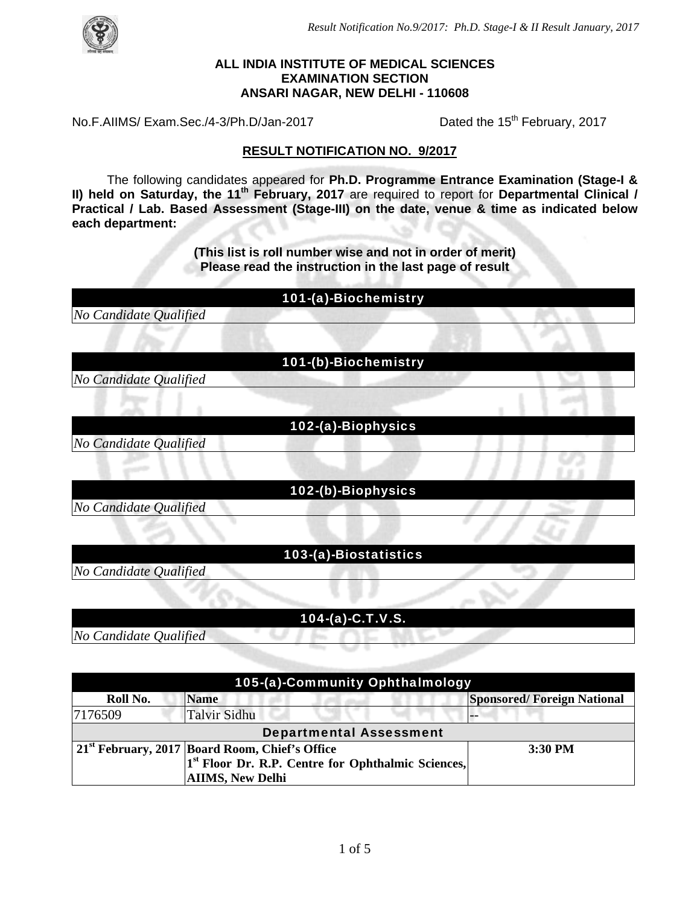



#### **ALL INDIA INSTITUTE OF MEDICAL SCIENCES EXAMINATION SECTION ANSARI NAGAR, NEW DELHI - 110608**

No.F.AIIMS/ Exam.Sec./4-3/Ph.D/Jan-2017 Dated the 15<sup>th</sup> February, 2017

#### **RESULT NOTIFICATION NO. 9/2017**

 The following candidates appeared for **Ph.D. Programme Entrance Examination (Stage-I & II) held on Saturday, the 11<sup>th</sup> February, 2017** are required to report for Departmental Clinical / **Practical / Lab. Based Assessment (Stage-III) on the date, venue & time as indicated below each department:** 

> **(This list is roll number wise and not in order of merit) Please read the instruction in the last page of result**

> > 101-(a)-Biochemistry

*No Candidate Qualified* 

101-(b)-Biochemistry

*No Candidate Qualified* 

*No Candidate Qualified* 

102-(a)-Biophysics

102-(b)-Biophysics

*No Candidate Qualified* 

103-(a)-Biostatistics

*No Candidate Qualified* 

104-(a)-C.T.V.S.

*No Candidate Qualified* 

| 105-(a)-Community Ophthalmology |                                                                |                                   |  |
|---------------------------------|----------------------------------------------------------------|-----------------------------------|--|
| Roll No.                        | <b>Name</b>                                                    | <b>Sponsored/Foreign National</b> |  |
| 7176509                         | <b>Talvir Sidhu</b>                                            |                                   |  |
| <b>Departmental Assessment</b>  |                                                                |                                   |  |
|                                 | 21 <sup>st</sup> February, 2017 Board Room, Chief's Office     | 3:30 PM                           |  |
|                                 | 1 <sup>st</sup> Floor Dr. R.P. Centre for Ophthalmic Sciences, |                                   |  |
|                                 | <b>AIIMS, New Delhi</b>                                        |                                   |  |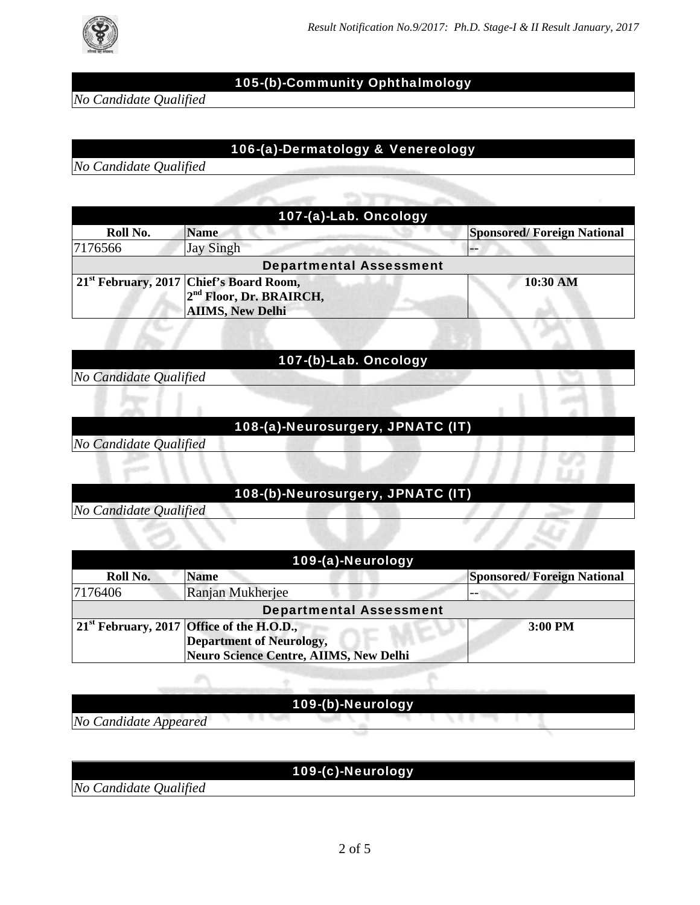

*No Candidate Qualified* 

# 105-(b)-Community Ophthalmology

# 106-(a)-Dermatology & Venereology

*No Candidate Qualified* 

| 107-(a)-Lab. Oncology          |                                                                                                                       |                                   |
|--------------------------------|-----------------------------------------------------------------------------------------------------------------------|-----------------------------------|
| Roll No.                       | <b>Name</b>                                                                                                           | <b>Sponsored/Foreign National</b> |
| 7176566                        | <b>Jay Singh</b>                                                                                                      |                                   |
| <b>Departmental Assessment</b> |                                                                                                                       |                                   |
|                                | 21 <sup>st</sup> February, 2017 Chief's Board Room,<br>2 <sup>nd</sup> Floor, Dr. BRAIRCH,<br><b>AIIMS, New Delhi</b> | 10:30 AM                          |

#### 107-(b)-Lab. Oncology

*No Candidate Qualified* 

#### 108-(a)-Neurosurgery, JPNATC (IT)

*No Candidate Qualified* 

## 108-(b)-Neurosurgery, JPNATC (IT)

*No Candidate Qualified* 

| 109-(a)-Neurology              |                                                               |                                   |  |
|--------------------------------|---------------------------------------------------------------|-----------------------------------|--|
| Roll No.                       | <b>Name</b>                                                   | <b>Sponsored/Foreign National</b> |  |
| 7176406                        | Ranjan Mukherjee                                              | --                                |  |
| <b>Departmental Assessment</b> |                                                               |                                   |  |
|                                | $\vert$ 21 <sup>st</sup> February, 2017 Office of the H.O.D., | 3:00 PM                           |  |
|                                | <b>Department of Neurology,</b>                               |                                   |  |
|                                | Neuro Science Centre, AIIMS, New Delhi                        |                                   |  |

# 109-(b)-Neurology

*No Candidate Appeared* 

## 109-(c)-Neurology

*No Candidate Qualified*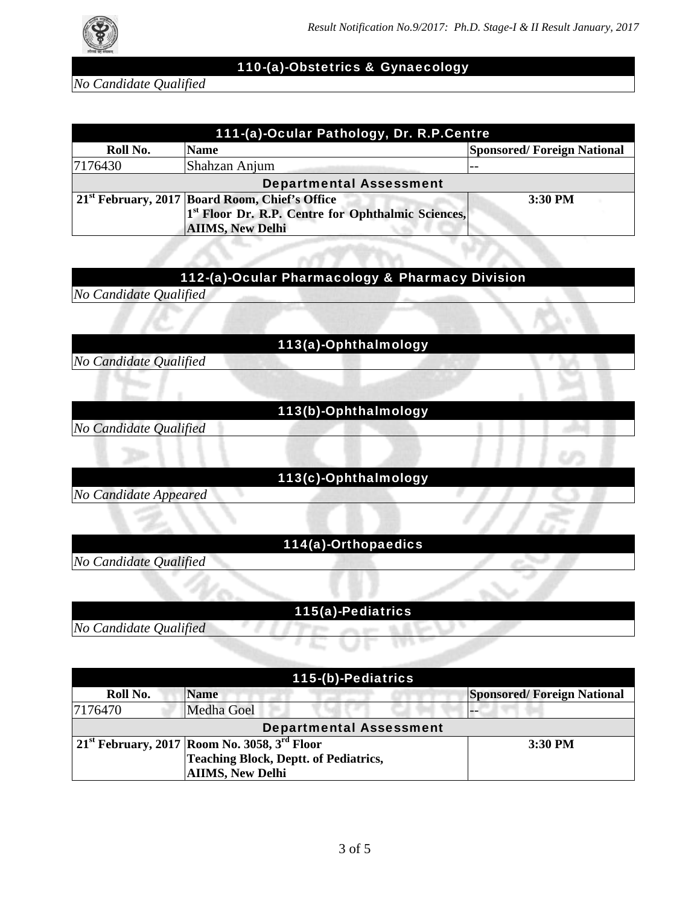

#### 110-(a)-Obstetrics & Gynaecology

*No Candidate Qualified* 

| 111-(a)-Ocular Pathology, Dr. R.P.Centre |                                                                |                                   |  |
|------------------------------------------|----------------------------------------------------------------|-----------------------------------|--|
| Roll No.                                 | <b>Name</b>                                                    | <b>Sponsored/Foreign National</b> |  |
| 7176430                                  | Shahzan Anjum                                                  |                                   |  |
| <b>Departmental Assessment</b>           |                                                                |                                   |  |
|                                          | 21 <sup>st</sup> February, 2017 Board Room, Chief's Office     | 3:30 PM                           |  |
|                                          | 1 <sup>st</sup> Floor Dr. R.P. Centre for Ophthalmic Sciences, |                                   |  |
|                                          | <b>AIIMS, New Delhi</b>                                        |                                   |  |

#### 112-(a)-Ocular Pharmacology & Pharmacy Division

*No Candidate Qualified* 

113(a)-Ophthalmology

*No Candidate Qualified* 

## 113(b)-Ophthalmology

*No Candidate Qualified* 

## 113(c)-Ophthalmology

*No Candidate Appeared* 

## 114(a)-Orthopaedics

*No Candidate Qualified* 

#### 115(a)-Pediatrics

*No Candidate Qualified* 

#### 115-(b)-Pediatrics **Roll No. Name Sponsored/ Foreign National**  Sponsored/ Foreign National 7176470 Medha Goel Departmental Assessment **21st February, 2017 Room No. 3058, 3rd Floor Teaching Block, Deptt. of Pediatrics, AIIMS, New Delhi 3:30 PM**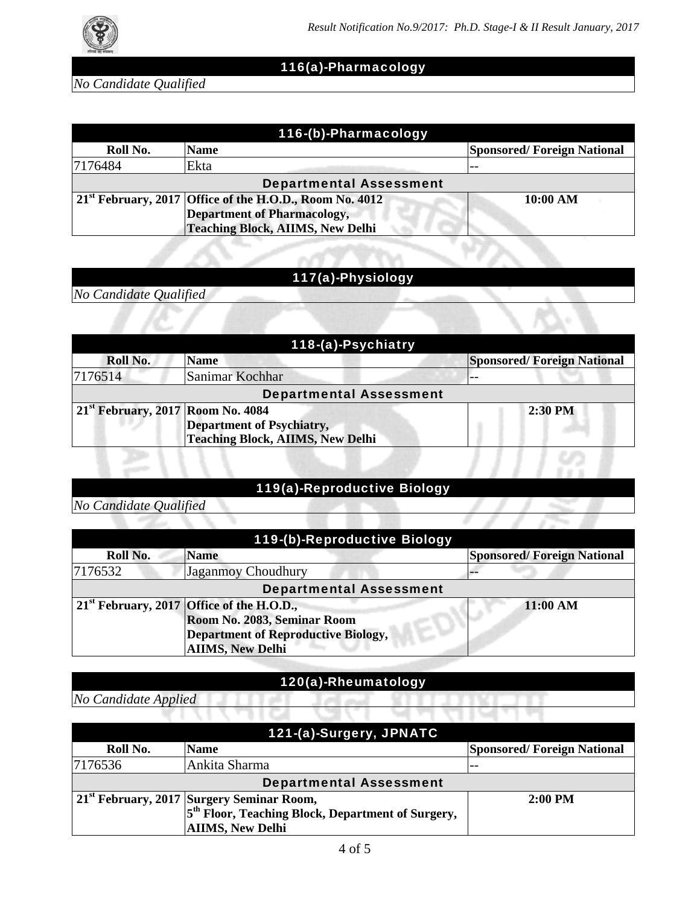

# 116(a)-Pharmacology

*No Candidate Qualified* 

| 116-(b)-Pharmacology           |                                                                             |                                   |
|--------------------------------|-----------------------------------------------------------------------------|-----------------------------------|
| Roll No.                       | <b>Name</b>                                                                 | <b>Sponsored/Foreign National</b> |
| 7176484                        | Ekta                                                                        |                                   |
| <b>Departmental Assessment</b> |                                                                             |                                   |
|                                | $\vert$ 21 <sup>st</sup> February, 2017 Office of the H.O.D., Room No. 4012 | 10:00 AM                          |
|                                | <b>Department of Pharmacology,</b>                                          |                                   |
|                                | <b>Teaching Block, AIIMS, New Delhi</b>                                     |                                   |

# 117(a)-Physiology

*No Candidate Qualified* 

| 118-(a)-Psychiatry                  |                                         |                                   |  |
|-------------------------------------|-----------------------------------------|-----------------------------------|--|
| Roll No.                            | <b>Name</b>                             | <b>Sponsored/Foreign National</b> |  |
| 7176514                             | Sanimar Kochhar                         |                                   |  |
| <b>Departmental Assessment</b>      |                                         |                                   |  |
| $21st$ February, 2017 Room No. 4084 |                                         | $2:30$ PM                         |  |
|                                     | <b>Department of Psychiatry,</b>        |                                   |  |
|                                     | <b>Teaching Block, AIIMS, New Delhi</b> |                                   |  |

# 119(a)-Reproductive Biology

*No Candidate Qualified* 

| 119-(b)-Reproductive Biology   |                                             |                                   |
|--------------------------------|---------------------------------------------|-----------------------------------|
| Roll No.                       | <b>Name</b>                                 | <b>Sponsored/Foreign National</b> |
| 7176532                        | <b>Jaganmoy Choudhury</b>                   |                                   |
| <b>Departmental Assessment</b> |                                             |                                   |
|                                | $21st$ February, 2017 Office of the H.O.D., | 11:00 AM                          |
|                                | Room No. 2083, Seminar Room                 |                                   |
|                                | <b>Department of Reproductive Biology,</b>  |                                   |
|                                | <b>AIIMS, New Delhi</b>                     |                                   |

# 120(a)-Rheumatology

*No Candidate Applied* 

| 121-(a)-Surgery, JPNATC        |                                                               |                                   |  |
|--------------------------------|---------------------------------------------------------------|-----------------------------------|--|
| Roll No.                       | <b>Name</b>                                                   | <b>Sponsored/Foreign National</b> |  |
| 7176536                        | Ankita Sharma                                                 |                                   |  |
| <b>Departmental Assessment</b> |                                                               |                                   |  |
|                                | 21 <sup>st</sup> February, 2017 Surgery Seminar Room,         | $2:00$ PM                         |  |
|                                | 5 <sup>th</sup> Floor, Teaching Block, Department of Surgery, |                                   |  |
|                                | <b>AIIMS, New Delhi</b>                                       |                                   |  |